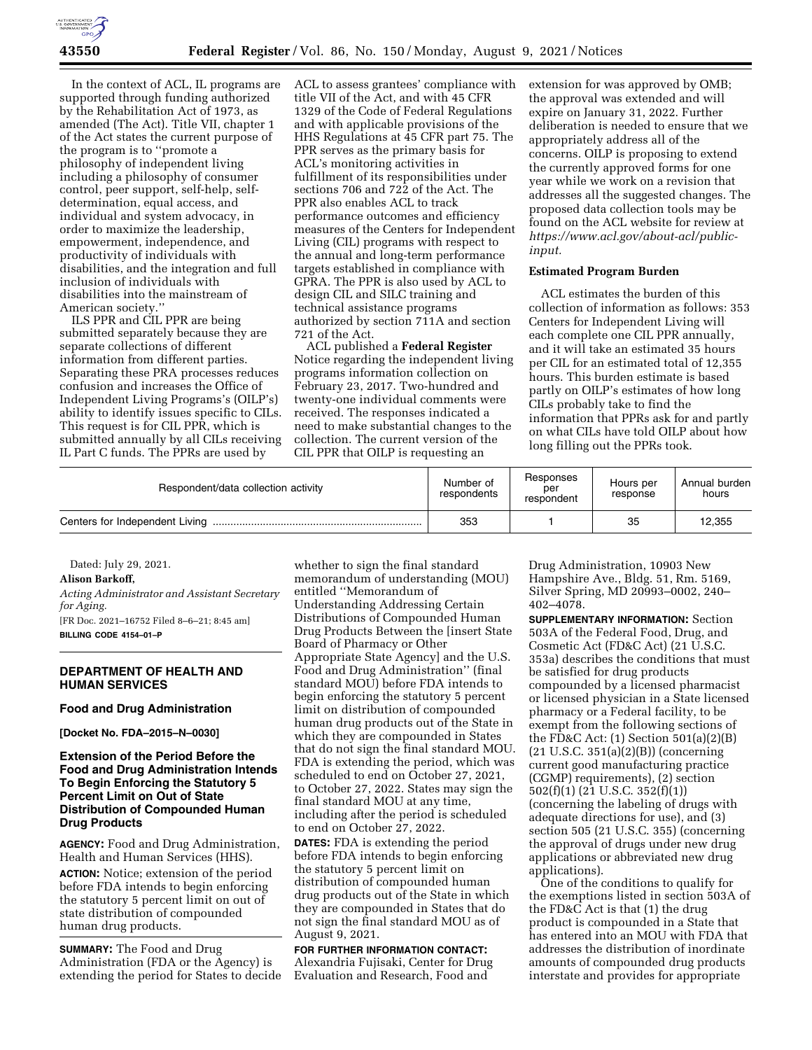

In the context of ACL, IL programs are supported through funding authorized by the Rehabilitation Act of 1973, as amended (The Act). Title VII, chapter 1 of the Act states the current purpose of the program is to ''promote a philosophy of independent living including a philosophy of consumer control, peer support, self-help, selfdetermination, equal access, and individual and system advocacy, in order to maximize the leadership, empowerment, independence, and productivity of individuals with disabilities, and the integration and full inclusion of individuals with disabilities into the mainstream of American society.''

ILS PPR and CIL PPR are being submitted separately because they are separate collections of different information from different parties. Separating these PRA processes reduces confusion and increases the Office of Independent Living Programs's (OILP's) ability to identify issues specific to CILs. This request is for CIL PPR, which is submitted annually by all CILs receiving IL Part C funds. The PPRs are used by

ACL to assess grantees' compliance with title VII of the Act, and with 45 CFR 1329 of the Code of Federal Regulations and with applicable provisions of the HHS Regulations at 45 CFR part 75. The PPR serves as the primary basis for ACL's monitoring activities in fulfillment of its responsibilities under sections 706 and 722 of the Act. The PPR also enables ACL to track performance outcomes and efficiency measures of the Centers for Independent Living (CIL) programs with respect to the annual and long-term performance targets established in compliance with GPRA. The PPR is also used by ACL to design CIL and SILC training and technical assistance programs authorized by section 711A and section 721 of the Act.

ACL published a **Federal Register**  Notice regarding the independent living programs information collection on February 23, 2017. Two-hundred and twenty-one individual comments were received. The responses indicated a need to make substantial changes to the collection. The current version of the CIL PPR that OILP is requesting an

extension for was approved by OMB; the approval was extended and will expire on January 31, 2022. Further deliberation is needed to ensure that we appropriately address all of the concerns. OILP is proposing to extend the currently approved forms for one year while we work on a revision that addresses all the suggested changes. The proposed data collection tools may be found on the ACL website for review at *[https://www.acl.gov/about-acl/public](https://www.acl.gov/about-acl/public-input)[input.](https://www.acl.gov/about-acl/public-input)* 

# **Estimated Program Burden**

ACL estimates the burden of this collection of information as follows: 353 Centers for Independent Living will each complete one CIL PPR annually, and it will take an estimated 35 hours per CIL for an estimated total of 12,355 hours. This burden estimate is based partly on OILP's estimates of how long CILs probably take to find the information that PPRs ask for and partly on what CILs have told OILP about how long filling out the PPRs took.

| Respondent/data collection activity | Number of<br>respondents | Responses<br>per<br>respondent | Hours per<br>response | Annual burden<br>hours |
|-------------------------------------|--------------------------|--------------------------------|-----------------------|------------------------|
|                                     | 353                      |                                | 35                    | 12,355                 |

Dated: July 29, 2021.

#### **Alison Barkoff,**

*Acting Administrator and Assistant Secretary for Aging.*  [FR Doc. 2021–16752 Filed 8–6–21; 8:45 am] **BILLING CODE 4154–01–P** 

## **DEPARTMENT OF HEALTH AND HUMAN SERVICES**

## **Food and Drug Administration**

**[Docket No. FDA–2015–N–0030]** 

# **Extension of the Period Before the Food and Drug Administration Intends To Begin Enforcing the Statutory 5 Percent Limit on Out of State Distribution of Compounded Human Drug Products**

**AGENCY:** Food and Drug Administration, Health and Human Services (HHS).

**ACTION:** Notice; extension of the period before FDA intends to begin enforcing the statutory 5 percent limit on out of state distribution of compounded human drug products.

**SUMMARY:** The Food and Drug Administration (FDA or the Agency) is extending the period for States to decide

whether to sign the final standard memorandum of understanding (MOU) entitled ''Memorandum of Understanding Addressing Certain Distributions of Compounded Human Drug Products Between the [insert State Board of Pharmacy or Other Appropriate State Agency] and the U.S. Food and Drug Administration'' (final standard MOU) before FDA intends to begin enforcing the statutory 5 percent limit on distribution of compounded human drug products out of the State in which they are compounded in States that do not sign the final standard MOU. FDA is extending the period, which was scheduled to end on October 27, 2021, to October 27, 2022. States may sign the final standard MOU at any time, including after the period is scheduled to end on October 27, 2022.

**DATES:** FDA is extending the period before FDA intends to begin enforcing the statutory 5 percent limit on distribution of compounded human drug products out of the State in which they are compounded in States that do not sign the final standard MOU as of August 9, 2021.

**FOR FURTHER INFORMATION CONTACT:**  Alexandria Fujisaki, Center for Drug Evaluation and Research, Food and

Drug Administration, 10903 New Hampshire Ave., Bldg. 51, Rm. 5169, Silver Spring, MD 20993–0002, 240– 402–4078.

**SUPPLEMENTARY INFORMATION:** Section 503A of the Federal Food, Drug, and Cosmetic Act (FD&C Act) (21 U.S.C. 353a) describes the conditions that must be satisfied for drug products compounded by a licensed pharmacist or licensed physician in a State licensed pharmacy or a Federal facility, to be exempt from the following sections of the FD&C Act: (1) Section 501(a)(2)(B) (21 U.S.C. 351(a)(2)(B)) (concerning current good manufacturing practice (CGMP) requirements), (2) section 502(f)(1) (21 U.S.C. 352(f)(1)) (concerning the labeling of drugs with adequate directions for use), and (3) section 505 (21 U.S.C. 355) (concerning the approval of drugs under new drug applications or abbreviated new drug applications).

One of the conditions to qualify for the exemptions listed in section 503A of the FD&C Act is that (1) the drug product is compounded in a State that has entered into an MOU with FDA that addresses the distribution of inordinate amounts of compounded drug products interstate and provides for appropriate